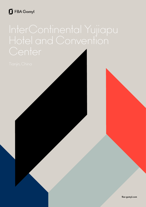## FBA Gomyl

International Convention Center **10/June/2018** 1 **fba-gomyl.com**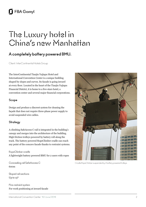# The Luxury hotel in China's new Manhattan

### **A completely battery powered BMU.**

Client: InterContinental Hotels Group

The InterContinental Tianjin Yujiapu Hotel and International Convention Center is a unique building shaped by slopes and curves. Its facade is going inward at every floor. Located in the heart of the Tianjin Yujiapu Financial District, it is home to a five-stars hotel, a convention center and several major financial corporations.

#### **Scope**

Design and produce a discreet system for cleaning the façade that does not require three-phase power supply to avoid suspended wire cables.

#### **Strategy**

A climbing SafeAccess C rail is integrated in the building's canopy and merges into the architecture of the building. High friction trolleys powered by battery roll along the track. The battery powered RopeClimber cradle can reach any point of the concave facade thanks to restraint systems.

RopeClimber cradle A lightweight battery powered BMU for 2 users with ropes

Concealing rail SafeAccess C  $600m$ 

Sloped rail sections Up to 15º

Pins restraint system For work positioning at inward facade



Cradle RopeClimber suspended by 2 battery powered trolleys.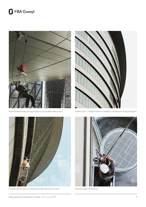## FBA Gomyl





RopeClimber Backpack suspended on concealed SafeAccess C. SafeAccess C + RopeClimber: an aesthetic and discreet designed system.



Facade restraint pins to to keep the cradle next to the facade. Restraint system from above.